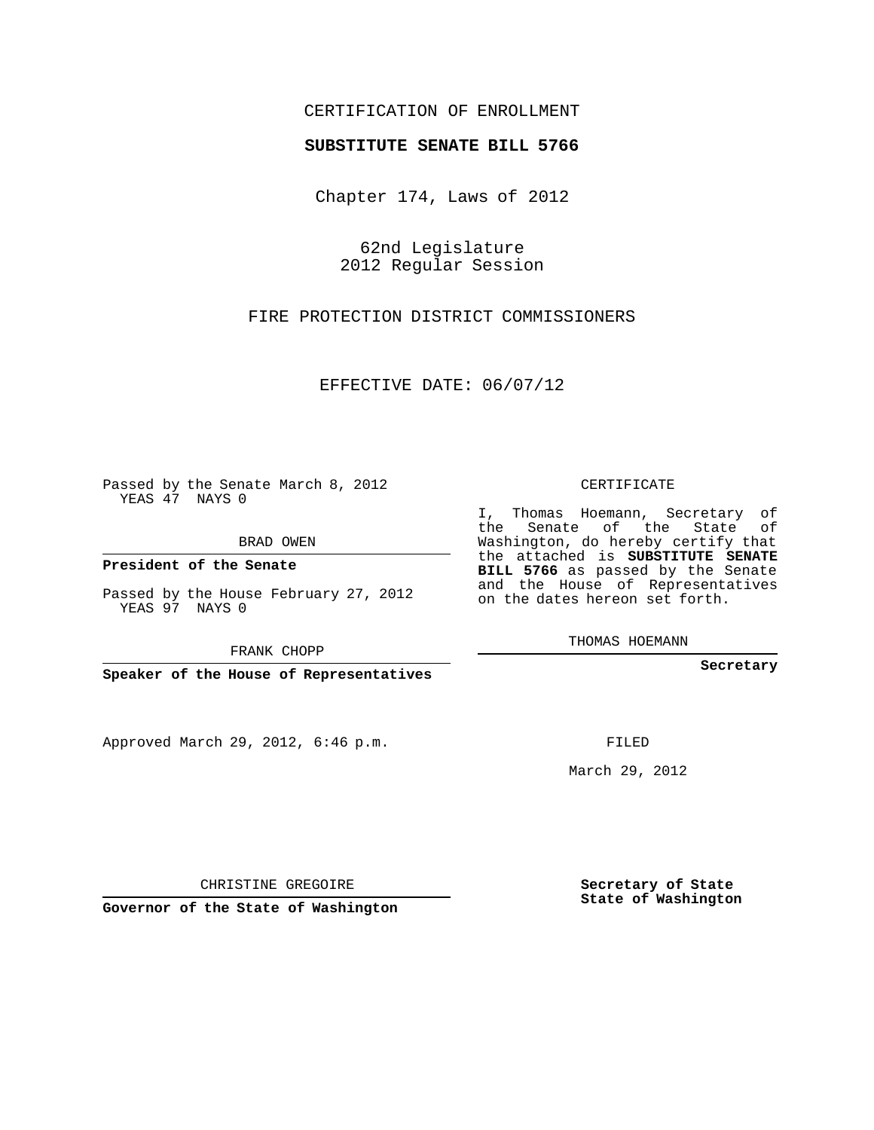## CERTIFICATION OF ENROLLMENT

## **SUBSTITUTE SENATE BILL 5766**

Chapter 174, Laws of 2012

62nd Legislature 2012 Regular Session

FIRE PROTECTION DISTRICT COMMISSIONERS

EFFECTIVE DATE: 06/07/12

Passed by the Senate March 8, 2012 YEAS 47 NAYS 0

BRAD OWEN

**President of the Senate**

Passed by the House February 27, 2012 YEAS 97 NAYS 0

FRANK CHOPP

**Speaker of the House of Representatives**

Approved March 29, 2012, 6:46 p.m.

CERTIFICATE

I, Thomas Hoemann, Secretary of the Senate of the State of Washington, do hereby certify that the attached is **SUBSTITUTE SENATE BILL 5766** as passed by the Senate and the House of Representatives on the dates hereon set forth.

THOMAS HOEMANN

**Secretary**

FILED

March 29, 2012

**Secretary of State State of Washington**

CHRISTINE GREGOIRE

**Governor of the State of Washington**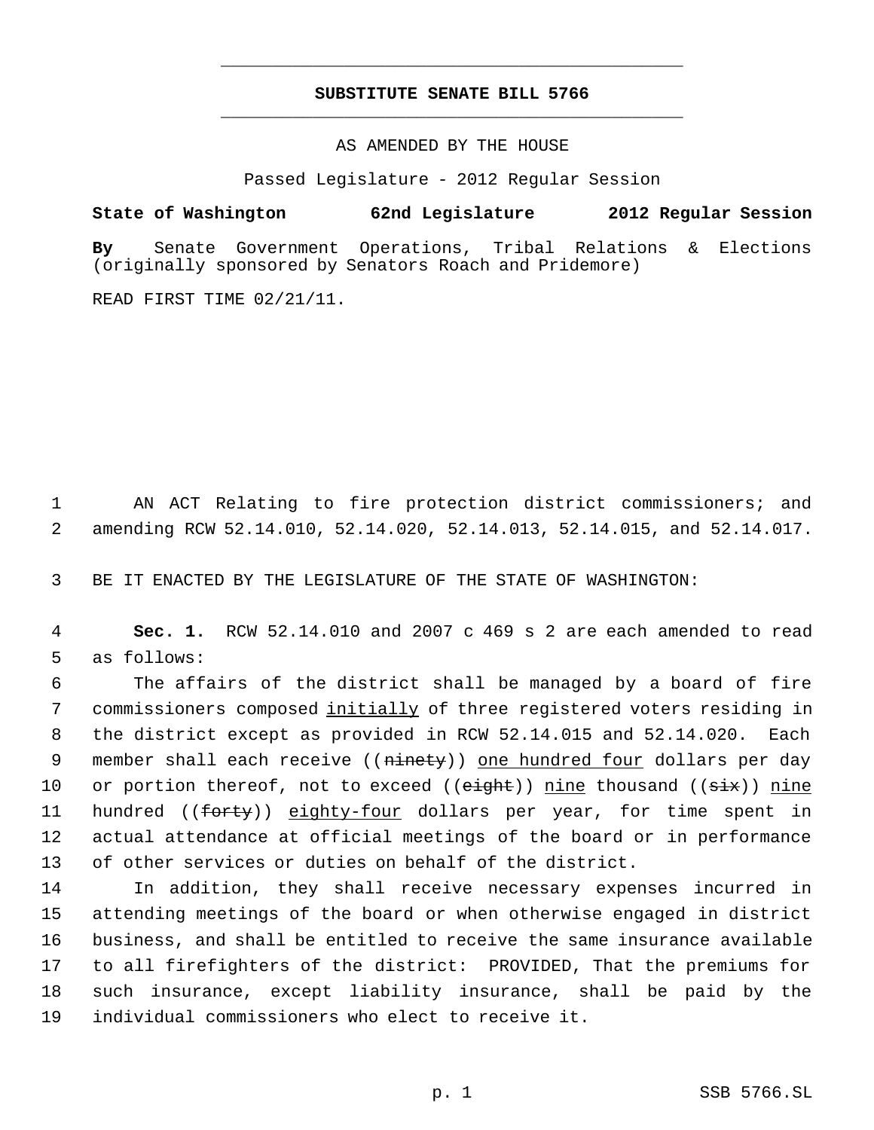## **SUBSTITUTE SENATE BILL 5766** \_\_\_\_\_\_\_\_\_\_\_\_\_\_\_\_\_\_\_\_\_\_\_\_\_\_\_\_\_\_\_\_\_\_\_\_\_\_\_\_\_\_\_\_\_

\_\_\_\_\_\_\_\_\_\_\_\_\_\_\_\_\_\_\_\_\_\_\_\_\_\_\_\_\_\_\_\_\_\_\_\_\_\_\_\_\_\_\_\_\_

AS AMENDED BY THE HOUSE

Passed Legislature - 2012 Regular Session

**State of Washington 62nd Legislature 2012 Regular Session**

**By** Senate Government Operations, Tribal Relations & Elections (originally sponsored by Senators Roach and Pridemore)

READ FIRST TIME 02/21/11.

 1 AN ACT Relating to fire protection district commissioners; and 2 amending RCW 52.14.010, 52.14.020, 52.14.013, 52.14.015, and 52.14.017.

3 BE IT ENACTED BY THE LEGISLATURE OF THE STATE OF WASHINGTON:

 4 **Sec. 1.** RCW 52.14.010 and 2007 c 469 s 2 are each amended to read 5 as follows:

 The affairs of the district shall be managed by a board of fire commissioners composed initially of three registered voters residing in the district except as provided in RCW 52.14.015 and 52.14.020. Each 9 member shall each receive ((ninety)) one hundred four dollars per day 10 or portion thereof, not to exceed ((eight)) nine thousand ((six)) nine 11 hundred ((forty)) eighty-four dollars per year, for time spent in actual attendance at official meetings of the board or in performance of other services or duties on behalf of the district.

 In addition, they shall receive necessary expenses incurred in attending meetings of the board or when otherwise engaged in district business, and shall be entitled to receive the same insurance available to all firefighters of the district: PROVIDED, That the premiums for such insurance, except liability insurance, shall be paid by the individual commissioners who elect to receive it.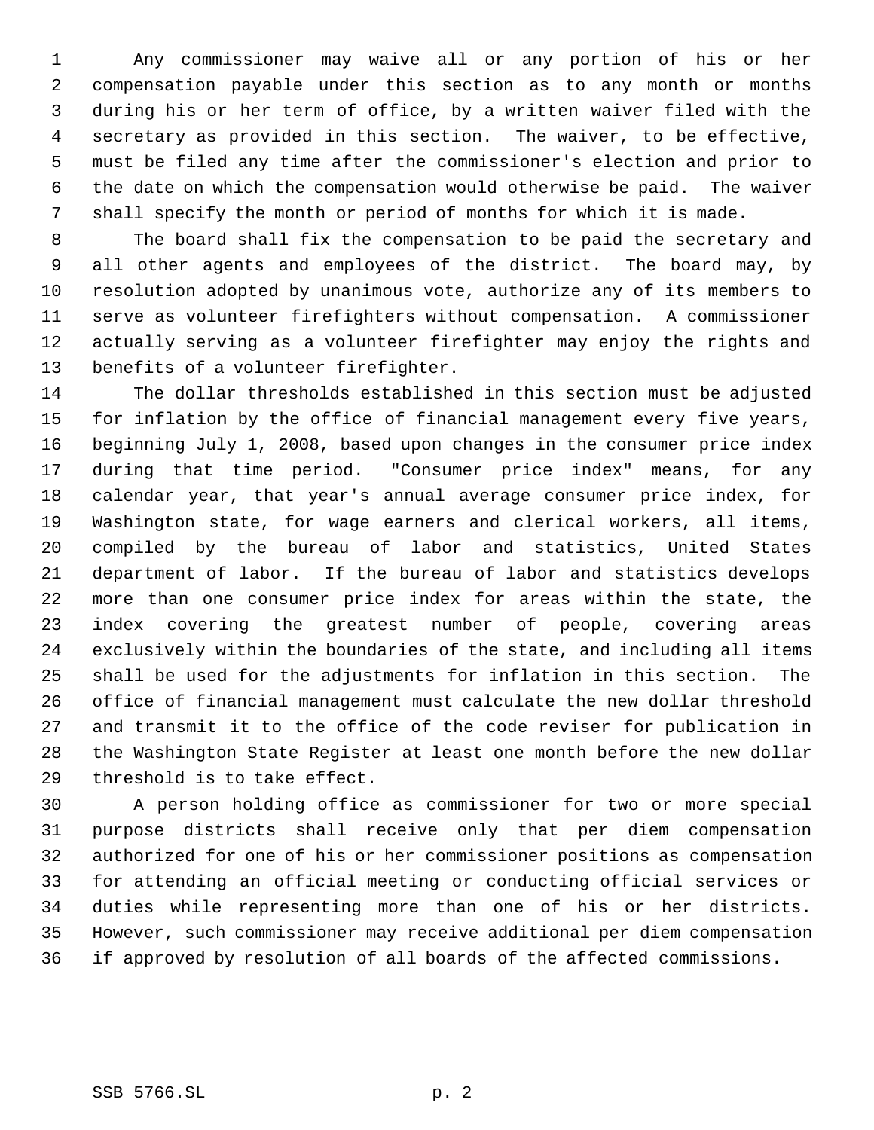Any commissioner may waive all or any portion of his or her compensation payable under this section as to any month or months during his or her term of office, by a written waiver filed with the secretary as provided in this section. The waiver, to be effective, must be filed any time after the commissioner's election and prior to the date on which the compensation would otherwise be paid. The waiver shall specify the month or period of months for which it is made.

 The board shall fix the compensation to be paid the secretary and all other agents and employees of the district. The board may, by resolution adopted by unanimous vote, authorize any of its members to serve as volunteer firefighters without compensation. A commissioner actually serving as a volunteer firefighter may enjoy the rights and benefits of a volunteer firefighter.

 The dollar thresholds established in this section must be adjusted for inflation by the office of financial management every five years, beginning July 1, 2008, based upon changes in the consumer price index during that time period. "Consumer price index" means, for any calendar year, that year's annual average consumer price index, for Washington state, for wage earners and clerical workers, all items, compiled by the bureau of labor and statistics, United States department of labor. If the bureau of labor and statistics develops more than one consumer price index for areas within the state, the index covering the greatest number of people, covering areas exclusively within the boundaries of the state, and including all items shall be used for the adjustments for inflation in this section. The office of financial management must calculate the new dollar threshold and transmit it to the office of the code reviser for publication in the Washington State Register at least one month before the new dollar threshold is to take effect.

 A person holding office as commissioner for two or more special purpose districts shall receive only that per diem compensation authorized for one of his or her commissioner positions as compensation for attending an official meeting or conducting official services or duties while representing more than one of his or her districts. However, such commissioner may receive additional per diem compensation if approved by resolution of all boards of the affected commissions.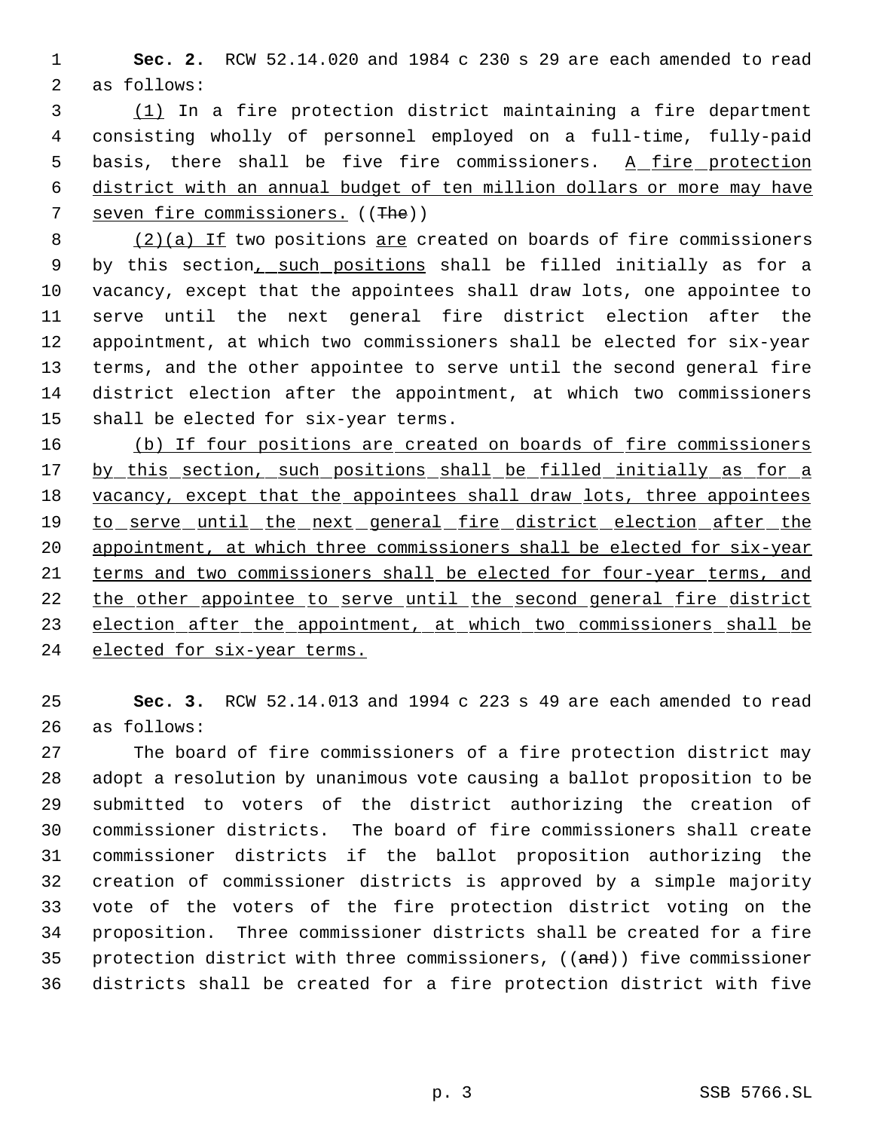**Sec. 2.** RCW 52.14.020 and 1984 c 230 s 29 are each amended to read as follows:

 (1) In a fire protection district maintaining a fire department consisting wholly of personnel employed on a full-time, fully-paid 5 basis, there shall be five fire commissioners. A fire protection district with an annual budget of ten million dollars or more may have 7 seven fire commissioners. ((The))

 (2)(a) If two positions are created on boards of fire commissioners 9 by this section, such positions shall be filled initially as for a vacancy, except that the appointees shall draw lots, one appointee to serve until the next general fire district election after the appointment, at which two commissioners shall be elected for six-year terms, and the other appointee to serve until the second general fire district election after the appointment, at which two commissioners shall be elected for six-year terms.

 (b) If four positions are created on boards of fire commissioners 17 by this section, such positions shall be filled initially as for a 18 vacancy, except that the appointees shall draw lots, three appointees 19 to serve until the next general fire district election after the 20 appointment, at which three commissioners shall be elected for six-year terms and two commissioners shall be elected for four-year terms, and the other appointee to serve until the second general fire district 23 election after the appointment, at which two commissioners shall be elected for six-year terms.

 **Sec. 3.** RCW 52.14.013 and 1994 c 223 s 49 are each amended to read as follows:

 The board of fire commissioners of a fire protection district may adopt a resolution by unanimous vote causing a ballot proposition to be submitted to voters of the district authorizing the creation of commissioner districts. The board of fire commissioners shall create commissioner districts if the ballot proposition authorizing the creation of commissioner districts is approved by a simple majority vote of the voters of the fire protection district voting on the proposition. Three commissioner districts shall be created for a fire 35 protection district with three commissioners, ((and)) five commissioner districts shall be created for a fire protection district with five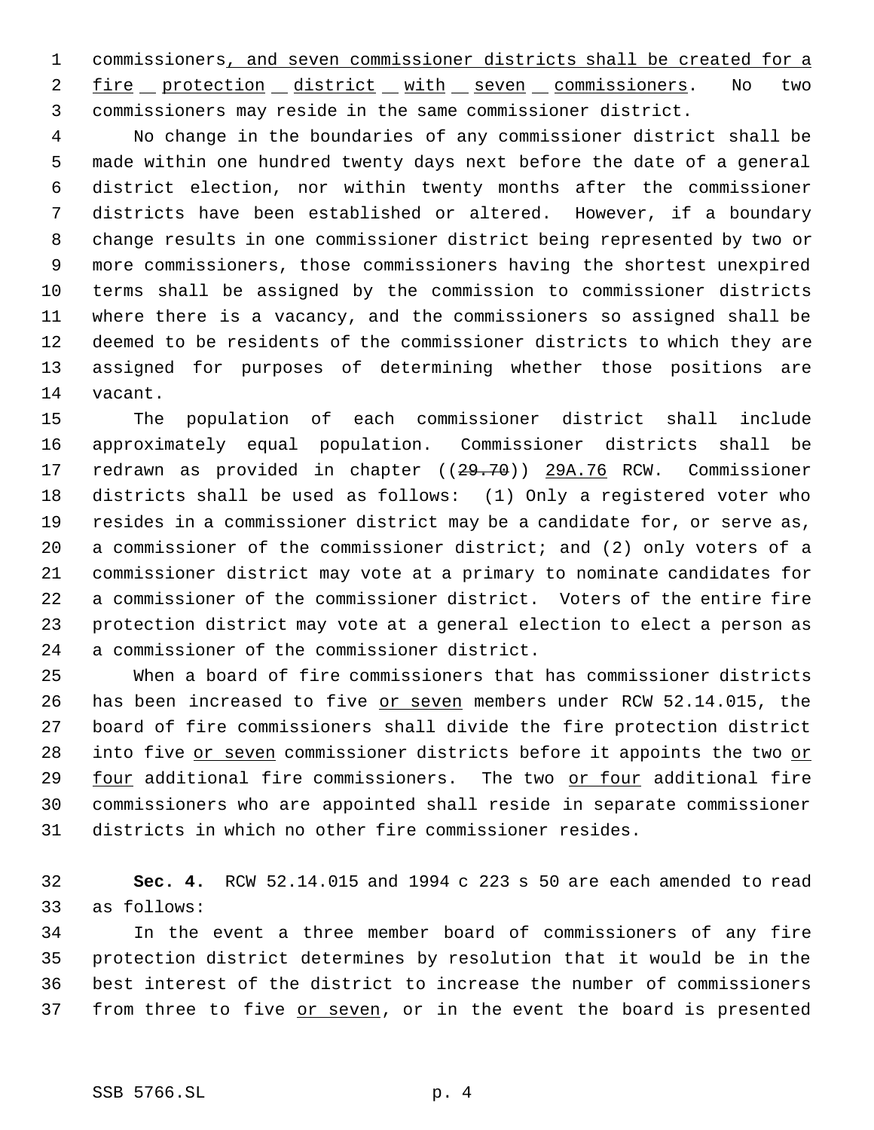commissioners, and seven commissioner districts shall be created for a 2 fire protection district with seven commissioners. No two commissioners may reside in the same commissioner district.

 No change in the boundaries of any commissioner district shall be made within one hundred twenty days next before the date of a general district election, nor within twenty months after the commissioner districts have been established or altered. However, if a boundary change results in one commissioner district being represented by two or more commissioners, those commissioners having the shortest unexpired terms shall be assigned by the commission to commissioner districts where there is a vacancy, and the commissioners so assigned shall be deemed to be residents of the commissioner districts to which they are assigned for purposes of determining whether those positions are vacant.

 The population of each commissioner district shall include approximately equal population. Commissioner districts shall be 17 redrawn as provided in chapter ((29.70)) 29A.76 RCW. Commissioner districts shall be used as follows: (1) Only a registered voter who resides in a commissioner district may be a candidate for, or serve as, a commissioner of the commissioner district; and (2) only voters of a commissioner district may vote at a primary to nominate candidates for a commissioner of the commissioner district. Voters of the entire fire protection district may vote at a general election to elect a person as a commissioner of the commissioner district.

 When a board of fire commissioners that has commissioner districts 26 has been increased to five or seven members under RCW 52.14.015, the board of fire commissioners shall divide the fire protection district 28 into five or seven commissioner districts before it appoints the two or 29 four additional fire commissioners. The two or four additional fire commissioners who are appointed shall reside in separate commissioner districts in which no other fire commissioner resides.

 **Sec. 4.** RCW 52.14.015 and 1994 c 223 s 50 are each amended to read as follows:

 In the event a three member board of commissioners of any fire protection district determines by resolution that it would be in the best interest of the district to increase the number of commissioners 37 from three to five or seven, or in the event the board is presented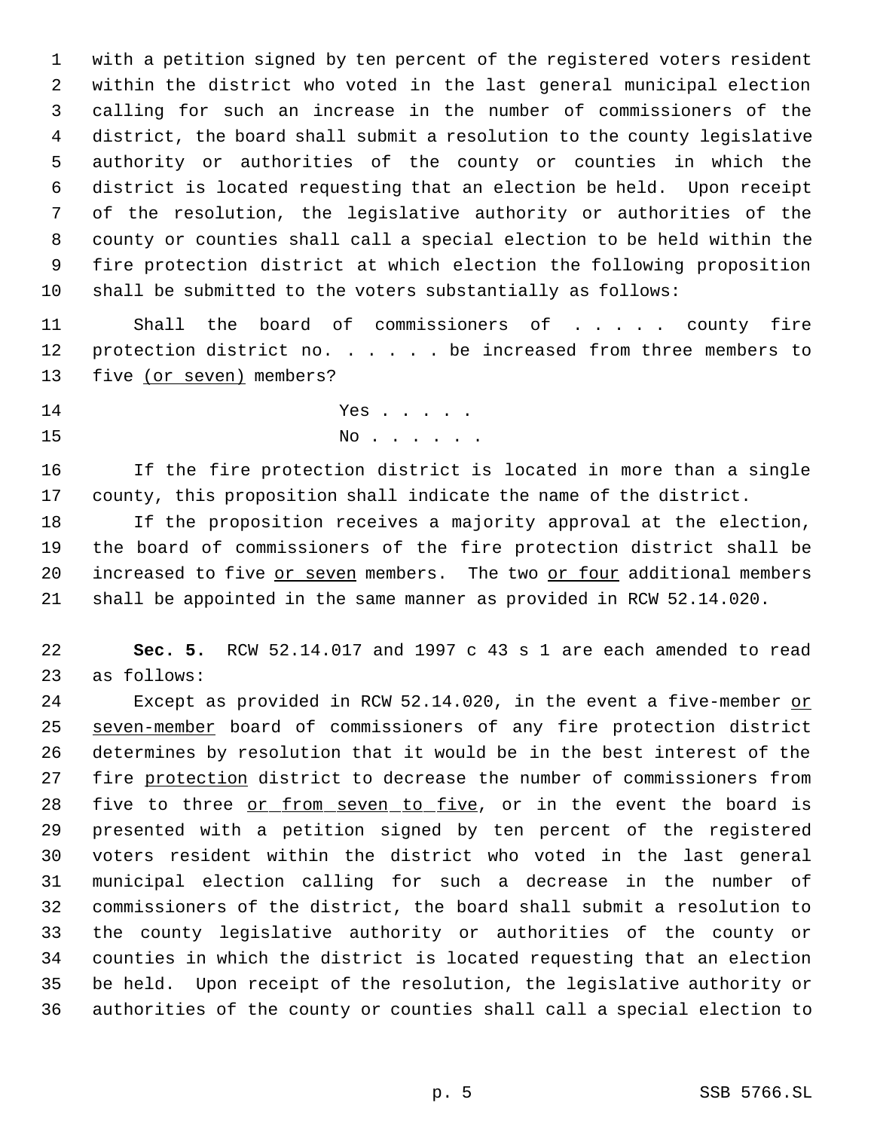with a petition signed by ten percent of the registered voters resident within the district who voted in the last general municipal election calling for such an increase in the number of commissioners of the district, the board shall submit a resolution to the county legislative authority or authorities of the county or counties in which the district is located requesting that an election be held. Upon receipt of the resolution, the legislative authority or authorities of the county or counties shall call a special election to be held within the fire protection district at which election the following proposition shall be submitted to the voters substantially as follows:

11 Shall the board of commissioners of . . . . county fire 12 protection district no. . . . . be increased from three members to 13 five (or seven) members?

14 Yes . . . . . No . . . . . .

 If the fire protection district is located in more than a single county, this proposition shall indicate the name of the district.

 If the proposition receives a majority approval at the election, the board of commissioners of the fire protection district shall be increased to five or seven members. The two or four additional members shall be appointed in the same manner as provided in RCW 52.14.020.

 **Sec. 5.** RCW 52.14.017 and 1997 c 43 s 1 are each amended to read as follows:

24 Except as provided in RCW 52.14.020, in the event a five-member or 25 seven-member board of commissioners of any fire protection district determines by resolution that it would be in the best interest of the fire protection district to decrease the number of commissioners from 28 five to three or from seven to five, or in the event the board is presented with a petition signed by ten percent of the registered voters resident within the district who voted in the last general municipal election calling for such a decrease in the number of commissioners of the district, the board shall submit a resolution to the county legislative authority or authorities of the county or counties in which the district is located requesting that an election be held. Upon receipt of the resolution, the legislative authority or authorities of the county or counties shall call a special election to